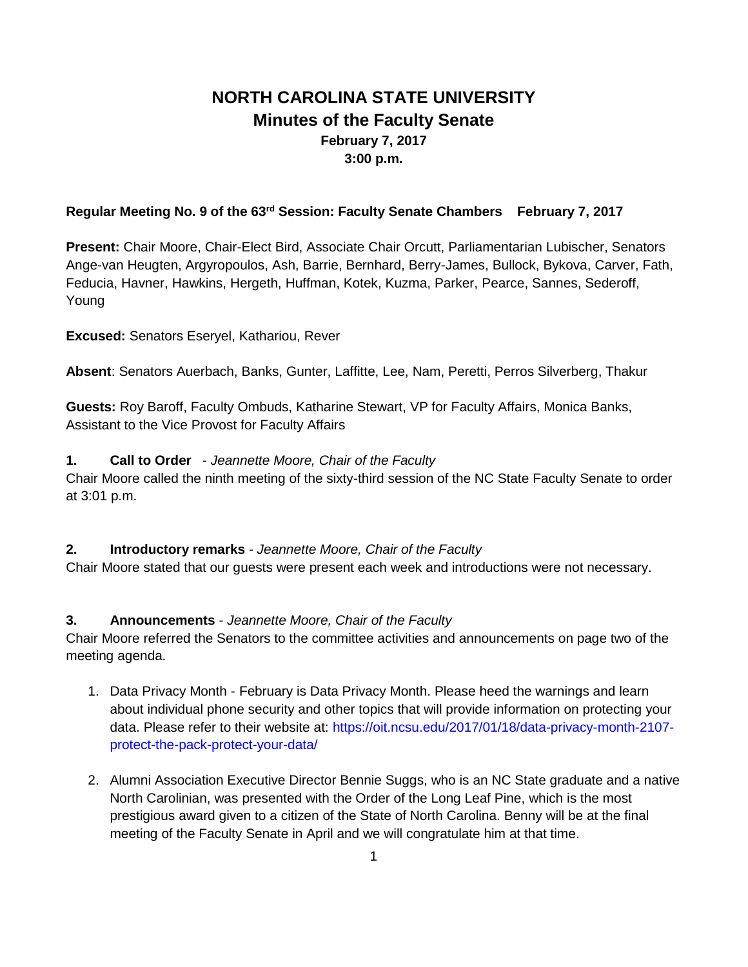# **NORTH CAROLINA STATE UNIVERSITY Minutes of the Faculty Senate February 7, 2017 3:00 p.m.**

### **Regular Meeting No. 9 of the 63rd Session: Faculty Senate Chambers February 7, 2017**

**Present:** Chair Moore, Chair-Elect Bird, Associate Chair Orcutt, Parliamentarian Lubischer, Senators Ange-van Heugten, Argyropoulos, Ash, Barrie, Bernhard, Berry-James, Bullock, Bykova, Carver, Fath, Feducia, Havner, Hawkins, Hergeth, Huffman, Kotek, Kuzma, Parker, Pearce, Sannes, Sederoff, Young

**Excused:** Senators Eseryel, Kathariou, Rever

**Absent**: Senators Auerbach, Banks, Gunter, Laffitte, Lee, Nam, Peretti, Perros Silverberg, Thakur

**Guests:** Roy Baroff, Faculty Ombuds, Katharine Stewart, VP for Faculty Affairs, Monica Banks, Assistant to the Vice Provost for Faculty Affairs

### **1. Call to Order** - *Jeannette Moore, Chair of the Faculty*

Chair Moore called the ninth meeting of the sixty-third session of the NC State Faculty Senate to order at 3:01 p.m.

### **2. Introductory remarks** - *Jeannette Moore, Chair of the Faculty*

Chair Moore stated that our guests were present each week and introductions were not necessary.

# **3. Announcements** - *Jeannette Moore, Chair of the Faculty*

Chair Moore referred the Senators to the committee activities and announcements on page two of the meeting agenda.

- 1. Data Privacy Month February is Data Privacy Month. Please heed the warnings and learn about individual phone security and other topics that will provide information on protecting your data. Please refer to their website at: https://oit.ncsu.edu/2017/01/18/data-privacy-month-2107 protect-the-pack-protect-your-data/
- 2. Alumni Association Executive Director Bennie Suggs, who is an NC State graduate and a native North Carolinian, was presented with the Order of the Long Leaf Pine, which is the most prestigious award given to a citizen of the State of North Carolina. Benny will be at the final meeting of the Faculty Senate in April and we will congratulate him at that time.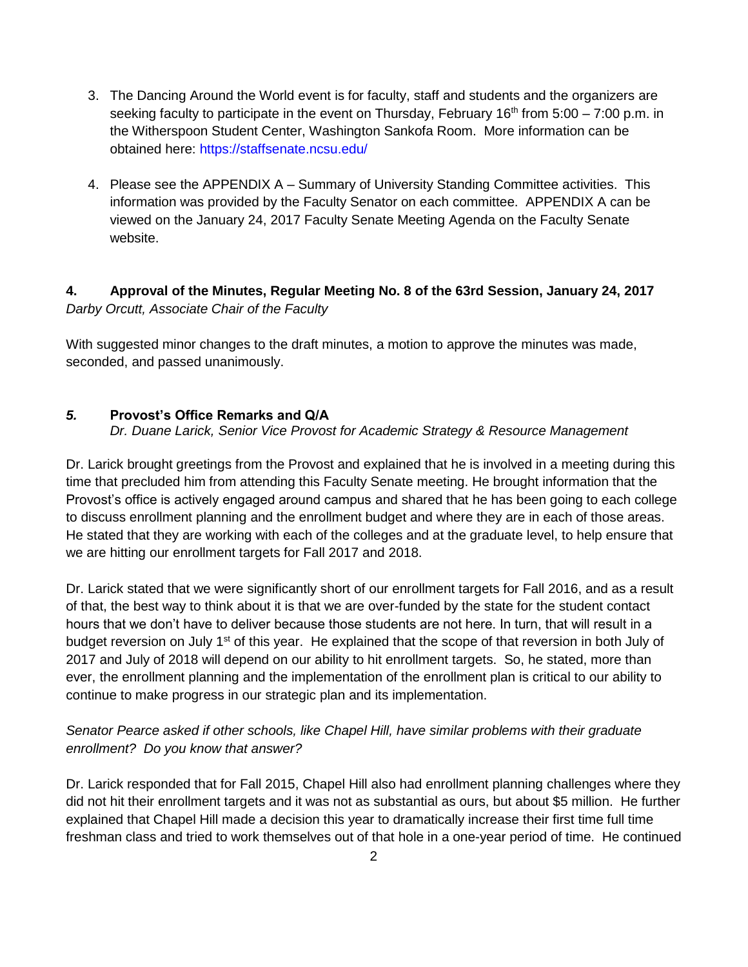- 3. The Dancing Around the World event is for faculty, staff and students and the organizers are seeking faculty to participate in the event on Thursday, February 16<sup>th</sup> from 5:00 – 7:00 p.m. in the Witherspoon Student Center, Washington Sankofa Room. More information can be obtained here: https://staffsenate.ncsu.edu/
- 4. Please see the APPENDIX A Summary of University Standing Committee activities. This information was provided by the Faculty Senator on each committee. APPENDIX A can be viewed on the January 24, 2017 Faculty Senate Meeting Agenda on the Faculty Senate website.

# **4. Approval of the Minutes, Regular Meeting No. 8 of the 63rd Session, January 24, 2017** *Darby Orcutt, Associate Chair of the Faculty*

With suggested minor changes to the draft minutes, a motion to approve the minutes was made, seconded, and passed unanimously.

# *5.* **Provost's Office Remarks and Q/A**

*Dr. Duane Larick, Senior Vice Provost for Academic Strategy & Resource Management*

Dr. Larick brought greetings from the Provost and explained that he is involved in a meeting during this time that precluded him from attending this Faculty Senate meeting. He brought information that the Provost's office is actively engaged around campus and shared that he has been going to each college to discuss enrollment planning and the enrollment budget and where they are in each of those areas. He stated that they are working with each of the colleges and at the graduate level, to help ensure that we are hitting our enrollment targets for Fall 2017 and 2018.

Dr. Larick stated that we were significantly short of our enrollment targets for Fall 2016, and as a result of that, the best way to think about it is that we are over-funded by the state for the student contact hours that we don't have to deliver because those students are not here. In turn, that will result in a budget reversion on July  $1<sup>st</sup>$  of this year. He explained that the scope of that reversion in both July of 2017 and July of 2018 will depend on our ability to hit enrollment targets. So, he stated, more than ever, the enrollment planning and the implementation of the enrollment plan is critical to our ability to continue to make progress in our strategic plan and its implementation.

# *Senator Pearce asked if other schools, like Chapel Hill, have similar problems with their graduate enrollment? Do you know that answer?*

Dr. Larick responded that for Fall 2015, Chapel Hill also had enrollment planning challenges where they did not hit their enrollment targets and it was not as substantial as ours, but about \$5 million. He further explained that Chapel Hill made a decision this year to dramatically increase their first time full time freshman class and tried to work themselves out of that hole in a one-year period of time. He continued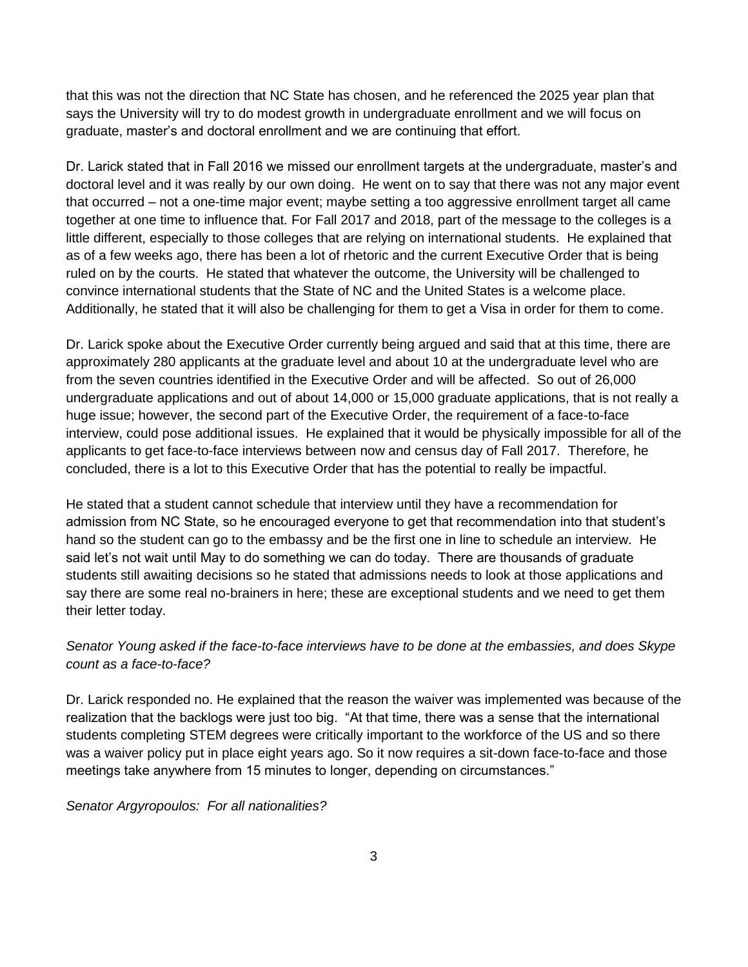that this was not the direction that NC State has chosen, and he referenced the 2025 year plan that says the University will try to do modest growth in undergraduate enrollment and we will focus on graduate, master's and doctoral enrollment and we are continuing that effort.

Dr. Larick stated that in Fall 2016 we missed our enrollment targets at the undergraduate, master's and doctoral level and it was really by our own doing. He went on to say that there was not any major event that occurred – not a one-time major event; maybe setting a too aggressive enrollment target all came together at one time to influence that. For Fall 2017 and 2018, part of the message to the colleges is a little different, especially to those colleges that are relying on international students. He explained that as of a few weeks ago, there has been a lot of rhetoric and the current Executive Order that is being ruled on by the courts. He stated that whatever the outcome, the University will be challenged to convince international students that the State of NC and the United States is a welcome place. Additionally, he stated that it will also be challenging for them to get a Visa in order for them to come.

Dr. Larick spoke about the Executive Order currently being argued and said that at this time, there are approximately 280 applicants at the graduate level and about 10 at the undergraduate level who are from the seven countries identified in the Executive Order and will be affected. So out of 26,000 undergraduate applications and out of about 14,000 or 15,000 graduate applications, that is not really a huge issue; however, the second part of the Executive Order, the requirement of a face-to-face interview, could pose additional issues. He explained that it would be physically impossible for all of the applicants to get face-to-face interviews between now and census day of Fall 2017. Therefore, he concluded, there is a lot to this Executive Order that has the potential to really be impactful.

He stated that a student cannot schedule that interview until they have a recommendation for admission from NC State, so he encouraged everyone to get that recommendation into that student's hand so the student can go to the embassy and be the first one in line to schedule an interview. He said let's not wait until May to do something we can do today. There are thousands of graduate students still awaiting decisions so he stated that admissions needs to look at those applications and say there are some real no-brainers in here; these are exceptional students and we need to get them their letter today.

# *Senator Young asked if the face-to-face interviews have to be done at the embassies, and does Skype count as a face-to-face?*

Dr. Larick responded no. He explained that the reason the waiver was implemented was because of the realization that the backlogs were just too big. "At that time, there was a sense that the international students completing STEM degrees were critically important to the workforce of the US and so there was a waiver policy put in place eight years ago. So it now requires a sit-down face-to-face and those meetings take anywhere from 15 minutes to longer, depending on circumstances."

# *Senator Argyropoulos: For all nationalities?*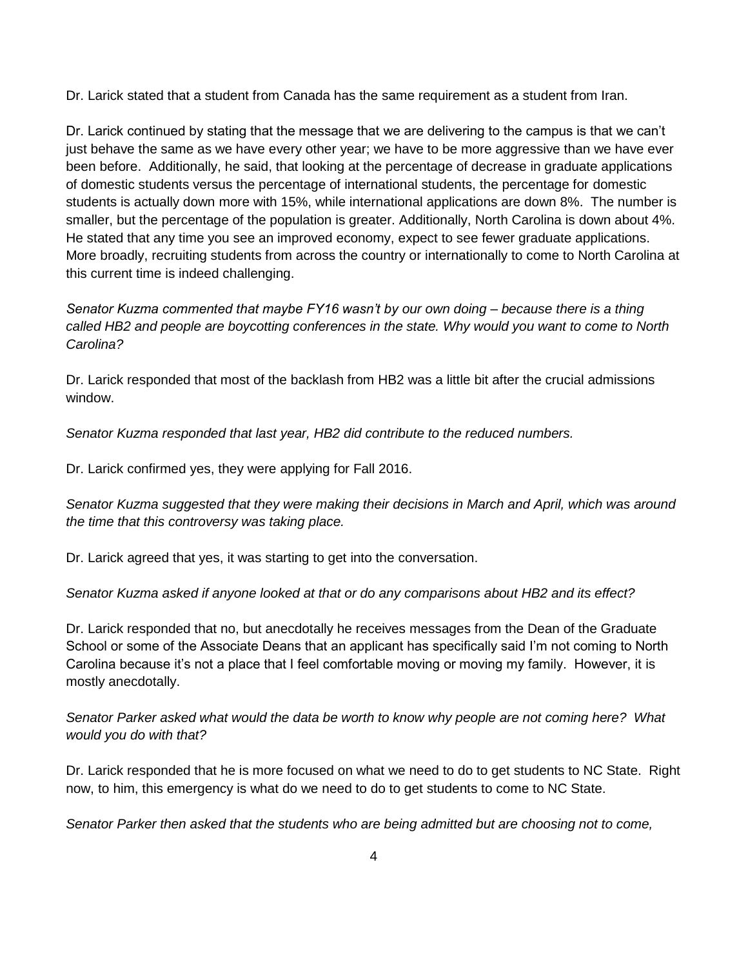Dr. Larick stated that a student from Canada has the same requirement as a student from Iran.

Dr. Larick continued by stating that the message that we are delivering to the campus is that we can't just behave the same as we have every other year; we have to be more aggressive than we have ever been before. Additionally, he said, that looking at the percentage of decrease in graduate applications of domestic students versus the percentage of international students, the percentage for domestic students is actually down more with 15%, while international applications are down 8%. The number is smaller, but the percentage of the population is greater. Additionally, North Carolina is down about 4%. He stated that any time you see an improved economy, expect to see fewer graduate applications. More broadly, recruiting students from across the country or internationally to come to North Carolina at this current time is indeed challenging.

*Senator Kuzma commented that maybe FY16 wasn't by our own doing – because there is a thing called HB2 and people are boycotting conferences in the state. Why would you want to come to North Carolina?*

Dr. Larick responded that most of the backlash from HB2 was a little bit after the crucial admissions window.

*Senator Kuzma responded that last year, HB2 did contribute to the reduced numbers.*

Dr. Larick confirmed yes, they were applying for Fall 2016.

*Senator Kuzma suggested that they were making their decisions in March and April, which was around the time that this controversy was taking place.*

Dr. Larick agreed that yes, it was starting to get into the conversation.

*Senator Kuzma asked if anyone looked at that or do any comparisons about HB2 and its effect?*

Dr. Larick responded that no, but anecdotally he receives messages from the Dean of the Graduate School or some of the Associate Deans that an applicant has specifically said I'm not coming to North Carolina because it's not a place that I feel comfortable moving or moving my family. However, it is mostly anecdotally.

*Senator Parker asked what would the data be worth to know why people are not coming here? What would you do with that?*

Dr. Larick responded that he is more focused on what we need to do to get students to NC State. Right now, to him, this emergency is what do we need to do to get students to come to NC State.

*Senator Parker then asked that the students who are being admitted but are choosing not to come,*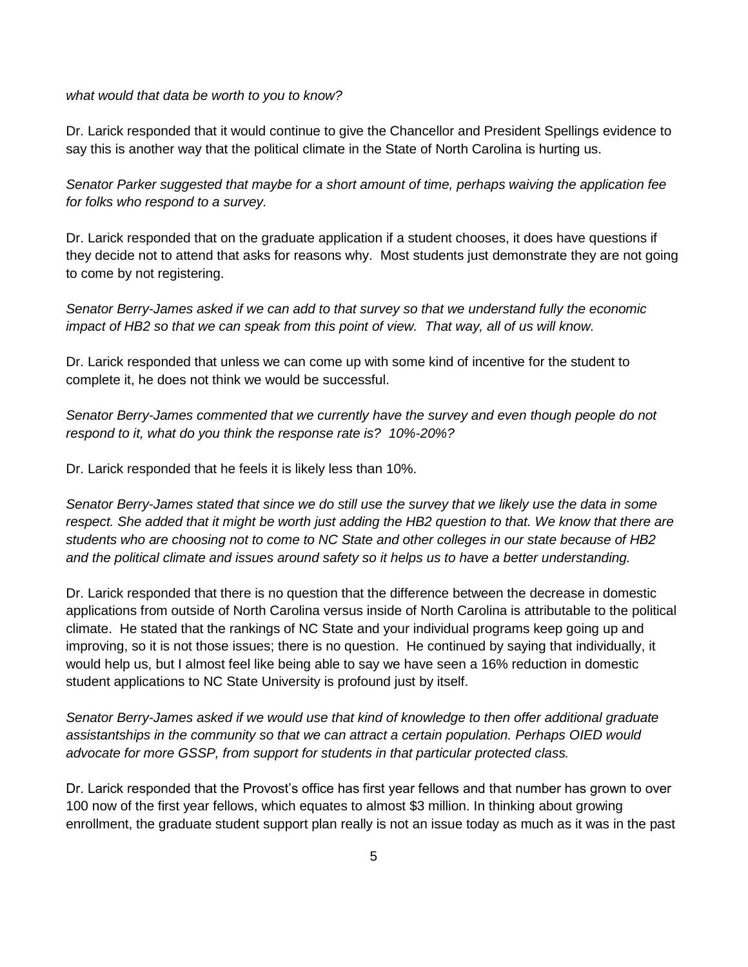*what would that data be worth to you to know?*

Dr. Larick responded that it would continue to give the Chancellor and President Spellings evidence to say this is another way that the political climate in the State of North Carolina is hurting us.

*Senator Parker suggested that maybe for a short amount of time, perhaps waiving the application fee for folks who respond to a survey.*

Dr. Larick responded that on the graduate application if a student chooses, it does have questions if they decide not to attend that asks for reasons why. Most students just demonstrate they are not going to come by not registering.

*Senator Berry-James asked if we can add to that survey so that we understand fully the economic impact of HB2 so that we can speak from this point of view. That way, all of us will know.*

Dr. Larick responded that unless we can come up with some kind of incentive for the student to complete it, he does not think we would be successful.

*Senator Berry-James commented that we currently have the survey and even though people do not respond to it, what do you think the response rate is? 10%-20%?*

Dr. Larick responded that he feels it is likely less than 10%.

*Senator Berry-James stated that since we do still use the survey that we likely use the data in some respect. She added that it might be worth just adding the HB2 question to that. We know that there are students who are choosing not to come to NC State and other colleges in our state because of HB2 and the political climate and issues around safety so it helps us to have a better understanding.*

Dr. Larick responded that there is no question that the difference between the decrease in domestic applications from outside of North Carolina versus inside of North Carolina is attributable to the political climate. He stated that the rankings of NC State and your individual programs keep going up and improving, so it is not those issues; there is no question. He continued by saying that individually, it would help us, but I almost feel like being able to say we have seen a 16% reduction in domestic student applications to NC State University is profound just by itself.

*Senator Berry-James asked if we would use that kind of knowledge to then offer additional graduate assistantships in the community so that we can attract a certain population. Perhaps OIED would advocate for more GSSP, from support for students in that particular protected class.*

Dr. Larick responded that the Provost's office has first year fellows and that number has grown to over 100 now of the first year fellows, which equates to almost \$3 million. In thinking about growing enrollment, the graduate student support plan really is not an issue today as much as it was in the past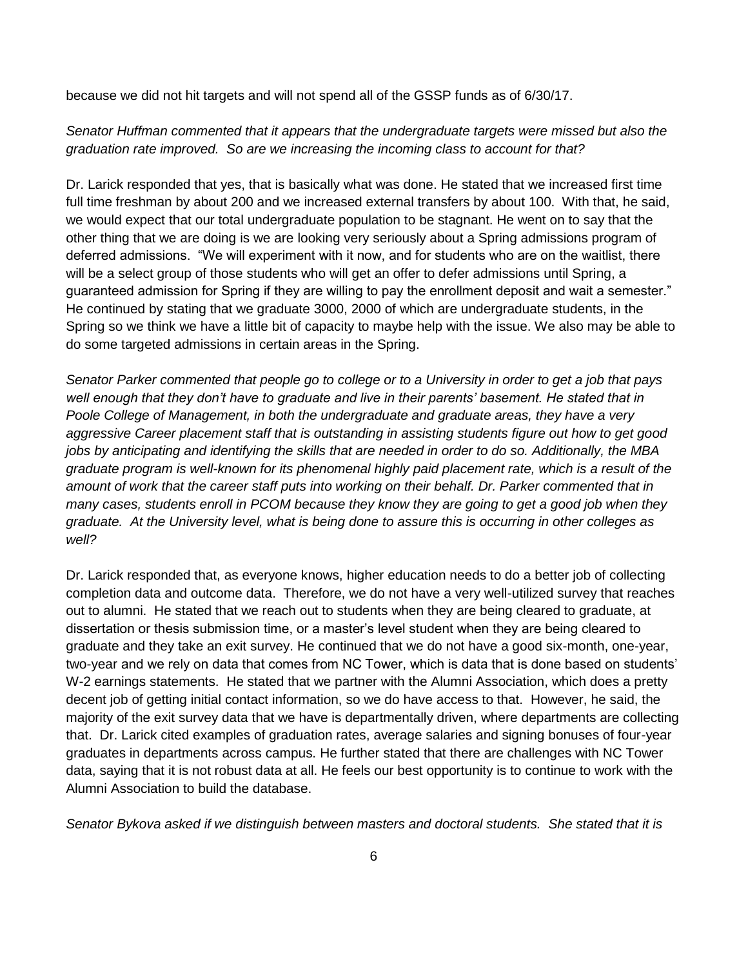because we did not hit targets and will not spend all of the GSSP funds as of 6/30/17.

*Senator Huffman commented that it appears that the undergraduate targets were missed but also the graduation rate improved. So are we increasing the incoming class to account for that?*

Dr. Larick responded that yes, that is basically what was done. He stated that we increased first time full time freshman by about 200 and we increased external transfers by about 100. With that, he said, we would expect that our total undergraduate population to be stagnant. He went on to say that the other thing that we are doing is we are looking very seriously about a Spring admissions program of deferred admissions. "We will experiment with it now, and for students who are on the waitlist, there will be a select group of those students who will get an offer to defer admissions until Spring, a guaranteed admission for Spring if they are willing to pay the enrollment deposit and wait a semester." He continued by stating that we graduate 3000, 2000 of which are undergraduate students, in the Spring so we think we have a little bit of capacity to maybe help with the issue. We also may be able to do some targeted admissions in certain areas in the Spring.

*Senator Parker commented that people go to college or to a University in order to get a job that pays well enough that they don't have to graduate and live in their parents' basement. He stated that in Poole College of Management, in both the undergraduate and graduate areas, they have a very aggressive Career placement staff that is outstanding in assisting students figure out how to get good jobs by anticipating and identifying the skills that are needed in order to do so. Additionally, the MBA graduate program is well-known for its phenomenal highly paid placement rate, which is a result of the amount of work that the career staff puts into working on their behalf. Dr. Parker commented that in many cases, students enroll in PCOM because they know they are going to get a good job when they graduate. At the University level, what is being done to assure this is occurring in other colleges as well?* 

Dr. Larick responded that, as everyone knows, higher education needs to do a better job of collecting completion data and outcome data. Therefore, we do not have a very well-utilized survey that reaches out to alumni. He stated that we reach out to students when they are being cleared to graduate, at dissertation or thesis submission time, or a master's level student when they are being cleared to graduate and they take an exit survey. He continued that we do not have a good six-month, one-year, two-year and we rely on data that comes from NC Tower, which is data that is done based on students' W-2 earnings statements. He stated that we partner with the Alumni Association, which does a pretty decent job of getting initial contact information, so we do have access to that. However, he said, the majority of the exit survey data that we have is departmentally driven, where departments are collecting that. Dr. Larick cited examples of graduation rates, average salaries and signing bonuses of four-year graduates in departments across campus. He further stated that there are challenges with NC Tower data, saying that it is not robust data at all. He feels our best opportunity is to continue to work with the Alumni Association to build the database.

*Senator Bykova asked if we distinguish between masters and doctoral students. She stated that it is*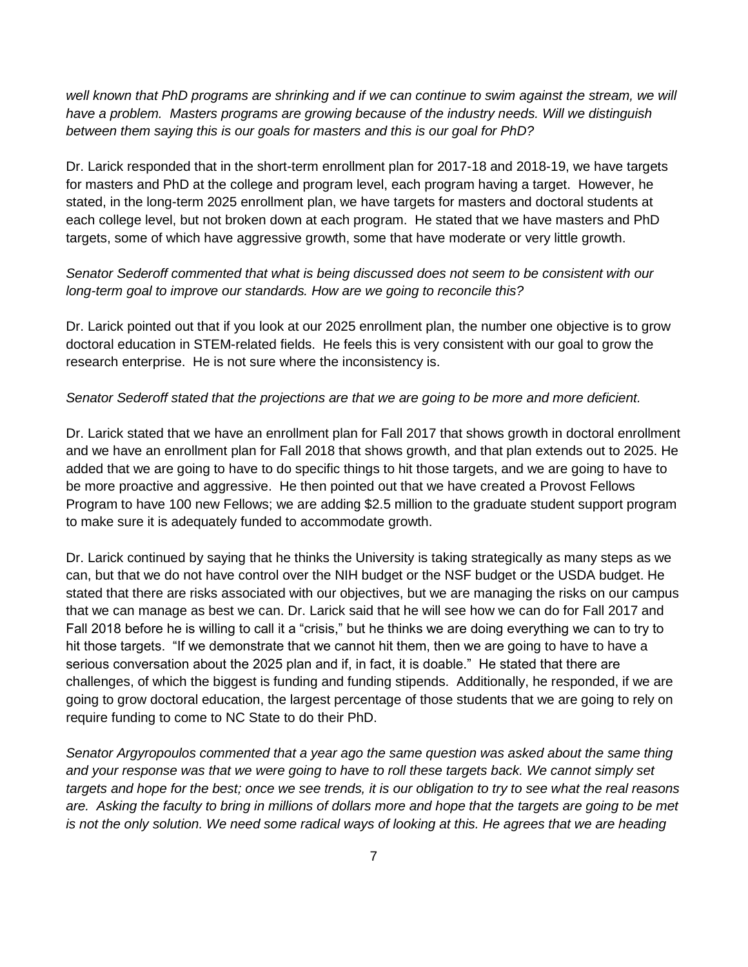well known that PhD programs are shrinking and if we can continue to swim against the stream, we will *have a problem. Masters programs are growing because of the industry needs. Will we distinguish between them saying this is our goals for masters and this is our goal for PhD?*

Dr. Larick responded that in the short-term enrollment plan for 2017-18 and 2018-19, we have targets for masters and PhD at the college and program level, each program having a target. However, he stated, in the long-term 2025 enrollment plan, we have targets for masters and doctoral students at each college level, but not broken down at each program. He stated that we have masters and PhD targets, some of which have aggressive growth, some that have moderate or very little growth.

*Senator Sederoff commented that what is being discussed does not seem to be consistent with our long-term goal to improve our standards. How are we going to reconcile this?*

Dr. Larick pointed out that if you look at our 2025 enrollment plan, the number one objective is to grow doctoral education in STEM-related fields. He feels this is very consistent with our goal to grow the research enterprise. He is not sure where the inconsistency is.

#### *Senator Sederoff stated that the projections are that we are going to be more and more deficient.*

Dr. Larick stated that we have an enrollment plan for Fall 2017 that shows growth in doctoral enrollment and we have an enrollment plan for Fall 2018 that shows growth, and that plan extends out to 2025. He added that we are going to have to do specific things to hit those targets, and we are going to have to be more proactive and aggressive. He then pointed out that we have created a Provost Fellows Program to have 100 new Fellows; we are adding \$2.5 million to the graduate student support program to make sure it is adequately funded to accommodate growth.

Dr. Larick continued by saying that he thinks the University is taking strategically as many steps as we can, but that we do not have control over the NIH budget or the NSF budget or the USDA budget. He stated that there are risks associated with our objectives, but we are managing the risks on our campus that we can manage as best we can. Dr. Larick said that he will see how we can do for Fall 2017 and Fall 2018 before he is willing to call it a "crisis," but he thinks we are doing everything we can to try to hit those targets. "If we demonstrate that we cannot hit them, then we are going to have to have a serious conversation about the 2025 plan and if, in fact, it is doable." He stated that there are challenges, of which the biggest is funding and funding stipends. Additionally, he responded, if we are going to grow doctoral education, the largest percentage of those students that we are going to rely on require funding to come to NC State to do their PhD.

*Senator Argyropoulos commented that a year ago the same question was asked about the same thing and your response was that we were going to have to roll these targets back. We cannot simply set targets and hope for the best; once we see trends, it is our obligation to try to see what the real reasons are. Asking the faculty to bring in millions of dollars more and hope that the targets are going to be met is not the only solution. We need some radical ways of looking at this. He agrees that we are heading*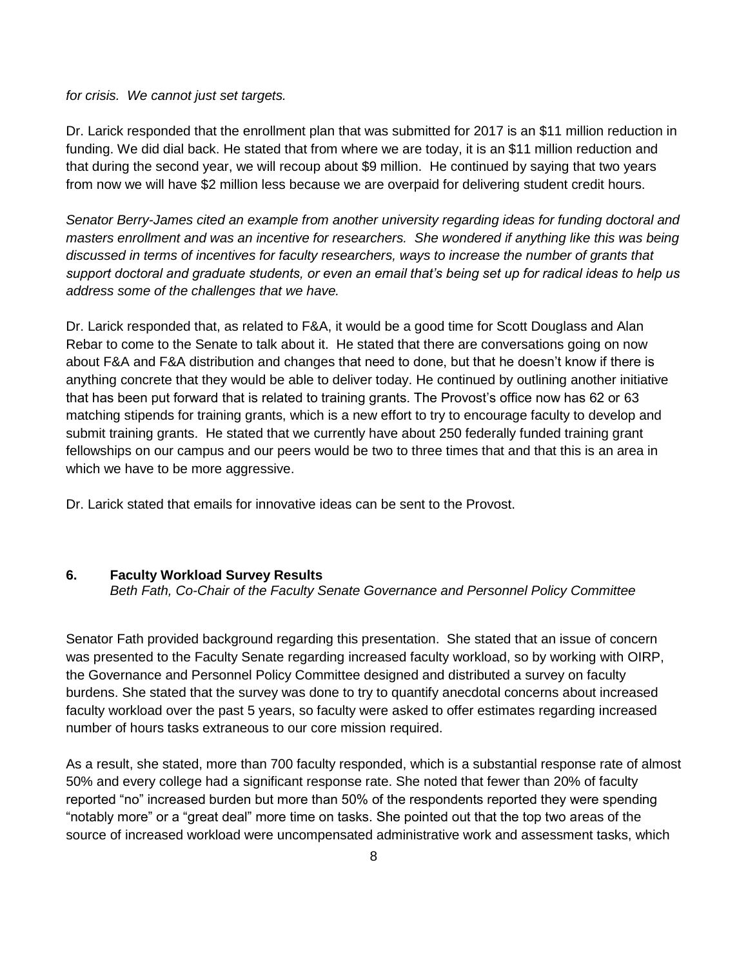*for crisis. We cannot just set targets.* 

Dr. Larick responded that the enrollment plan that was submitted for 2017 is an \$11 million reduction in funding. We did dial back. He stated that from where we are today, it is an \$11 million reduction and that during the second year, we will recoup about \$9 million. He continued by saying that two years from now we will have \$2 million less because we are overpaid for delivering student credit hours.

*Senator Berry-James cited an example from another university regarding ideas for funding doctoral and masters enrollment and was an incentive for researchers. She wondered if anything like this was being discussed in terms of incentives for faculty researchers, ways to increase the number of grants that support doctoral and graduate students, or even an email that's being set up for radical ideas to help us address some of the challenges that we have.*

Dr. Larick responded that, as related to F&A, it would be a good time for Scott Douglass and Alan Rebar to come to the Senate to talk about it. He stated that there are conversations going on now about F&A and F&A distribution and changes that need to done, but that he doesn't know if there is anything concrete that they would be able to deliver today. He continued by outlining another initiative that has been put forward that is related to training grants. The Provost's office now has 62 or 63 matching stipends for training grants, which is a new effort to try to encourage faculty to develop and submit training grants. He stated that we currently have about 250 federally funded training grant fellowships on our campus and our peers would be two to three times that and that this is an area in which we have to be more aggressive.

Dr. Larick stated that emails for innovative ideas can be sent to the Provost.

#### **6. Faculty Workload Survey Results**

*Beth Fath, Co-Chair of the Faculty Senate Governance and Personnel Policy Committee* 

Senator Fath provided background regarding this presentation. She stated that an issue of concern was presented to the Faculty Senate regarding increased faculty workload, so by working with OIRP, the Governance and Personnel Policy Committee designed and distributed a survey on faculty burdens. She stated that the survey was done to try to quantify anecdotal concerns about increased faculty workload over the past 5 years, so faculty were asked to offer estimates regarding increased number of hours tasks extraneous to our core mission required.

As a result, she stated, more than 700 faculty responded, which is a substantial response rate of almost 50% and every college had a significant response rate. She noted that fewer than 20% of faculty reported "no" increased burden but more than 50% of the respondents reported they were spending "notably more" or a "great deal" more time on tasks. She pointed out that the top two areas of the source of increased workload were uncompensated administrative work and assessment tasks, which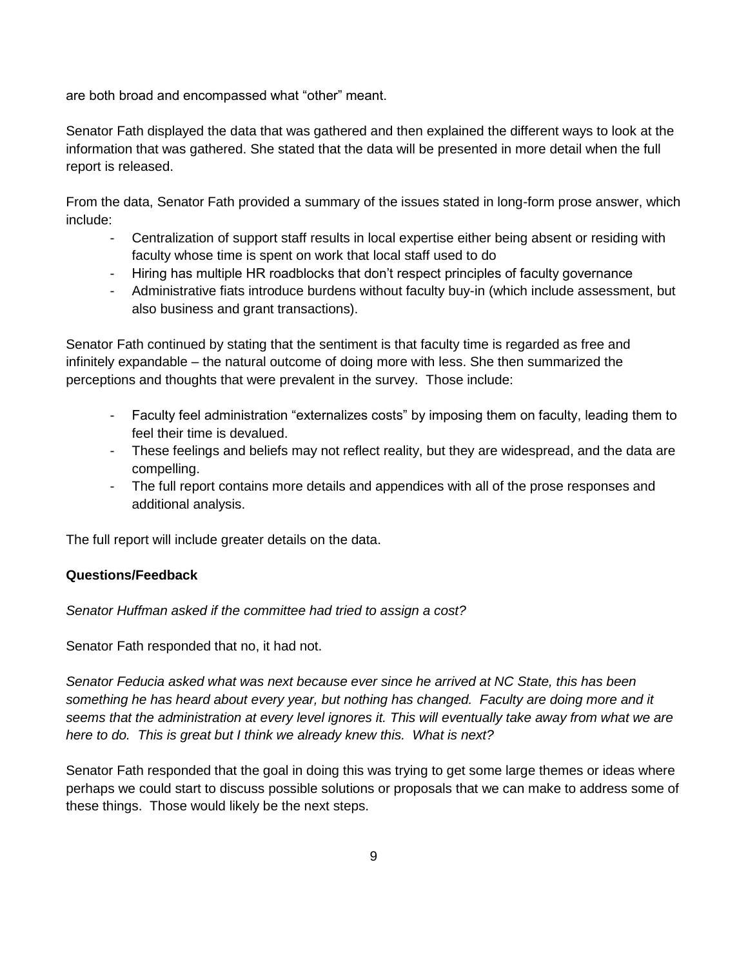are both broad and encompassed what "other" meant.

Senator Fath displayed the data that was gathered and then explained the different ways to look at the information that was gathered. She stated that the data will be presented in more detail when the full report is released.

From the data, Senator Fath provided a summary of the issues stated in long-form prose answer, which include:

- Centralization of support staff results in local expertise either being absent or residing with faculty whose time is spent on work that local staff used to do
- Hiring has multiple HR roadblocks that don't respect principles of faculty governance
- Administrative fiats introduce burdens without faculty buy-in (which include assessment, but also business and grant transactions).

Senator Fath continued by stating that the sentiment is that faculty time is regarded as free and infinitely expandable – the natural outcome of doing more with less. She then summarized the perceptions and thoughts that were prevalent in the survey. Those include:

- Faculty feel administration "externalizes costs" by imposing them on faculty, leading them to feel their time is devalued.
- These feelings and beliefs may not reflect reality, but they are widespread, and the data are compelling.
- The full report contains more details and appendices with all of the prose responses and additional analysis.

The full report will include greater details on the data.

### **Questions/Feedback**

*Senator Huffman asked if the committee had tried to assign a cost?*

Senator Fath responded that no, it had not.

*Senator Feducia asked what was next because ever since he arrived at NC State, this has been something he has heard about every year, but nothing has changed. Faculty are doing more and it seems that the administration at every level ignores it. This will eventually take away from what we are here to do. This is great but I think we already knew this. What is next?*

Senator Fath responded that the goal in doing this was trying to get some large themes or ideas where perhaps we could start to discuss possible solutions or proposals that we can make to address some of these things. Those would likely be the next steps.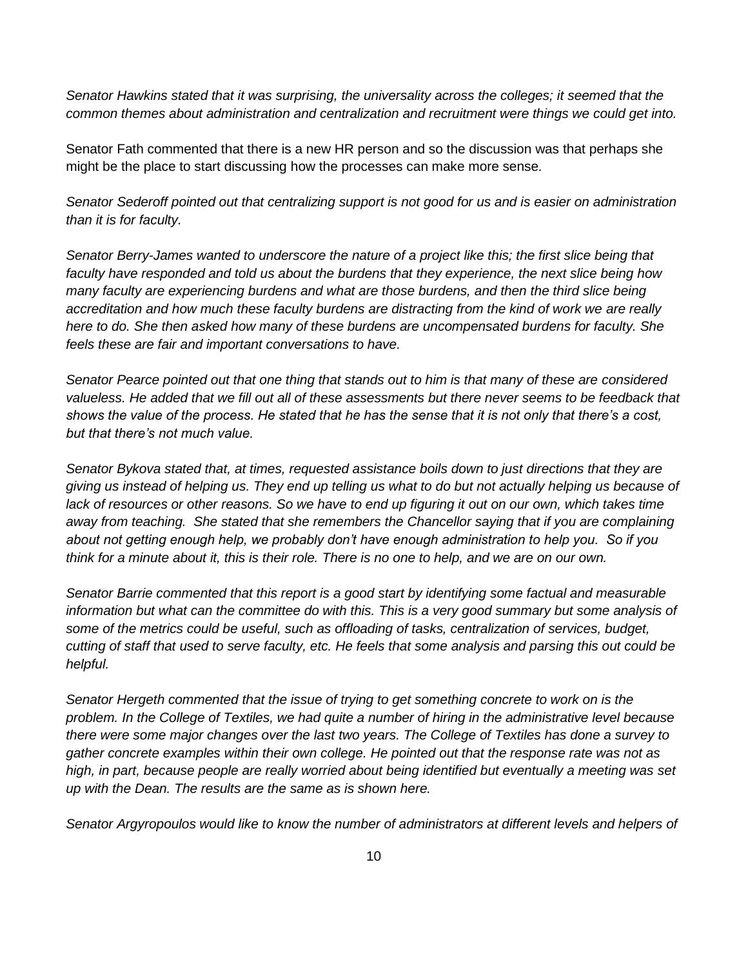*Senator Hawkins stated that it was surprising, the universality across the colleges; it seemed that the common themes about administration and centralization and recruitment were things we could get into.* 

Senator Fath commented that there is a new HR person and so the discussion was that perhaps she might be the place to start discussing how the processes can make more sense*.*

*Senator Sederoff pointed out that centralizing support is not good for us and is easier on administration than it is for faculty.* 

*Senator Berry-James wanted to underscore the nature of a project like this; the first slice being that faculty have responded and told us about the burdens that they experience, the next slice being how many faculty are experiencing burdens and what are those burdens, and then the third slice being accreditation and how much these faculty burdens are distracting from the kind of work we are really here to do. She then asked how many of these burdens are uncompensated burdens for faculty. She feels these are fair and important conversations to have.*

*Senator Pearce pointed out that one thing that stands out to him is that many of these are considered*  valueless. He added that we fill out all of these assessments but there never seems to be feedback that *shows the value of the process. He stated that he has the sense that it is not only that there's a cost, but that there's not much value.* 

*Senator Bykova stated that, at times, requested assistance boils down to just directions that they are giving us instead of helping us. They end up telling us what to do but not actually helping us because of lack of resources or other reasons. So we have to end up figuring it out on our own, which takes time away from teaching. She stated that she remembers the Chancellor saying that if you are complaining about not getting enough help, we probably don't have enough administration to help you. So if you think for a minute about it, this is their role. There is no one to help, and we are on our own.*

*Senator Barrie commented that this report is a good start by identifying some factual and measurable information but what can the committee do with this. This is a very good summary but some analysis of some of the metrics could be useful, such as offloading of tasks, centralization of services, budget, cutting of staff that used to serve faculty, etc. He feels that some analysis and parsing this out could be helpful.* 

*Senator Hergeth commented that the issue of trying to get something concrete to work on is the problem. In the College of Textiles, we had quite a number of hiring in the administrative level because there were some major changes over the last two years. The College of Textiles has done a survey to gather concrete examples within their own college. He pointed out that the response rate was not as high, in part, because people are really worried about being identified but eventually a meeting was set up with the Dean. The results are the same as is shown here.* 

*Senator Argyropoulos would like to know the number of administrators at different levels and helpers of*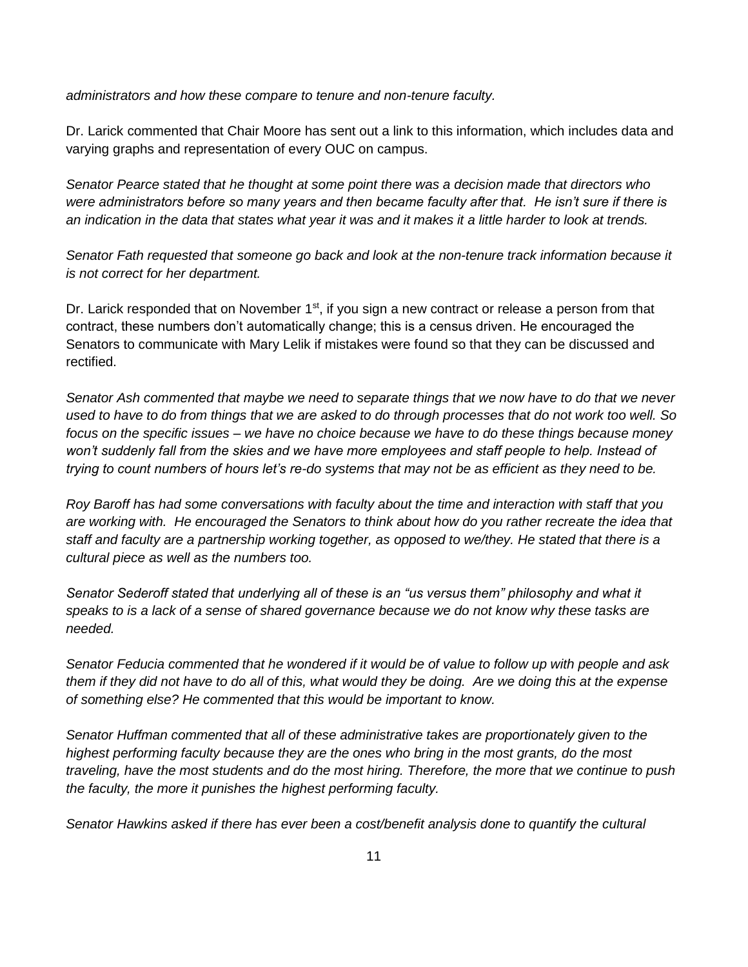*administrators and how these compare to tenure and non-tenure faculty.* 

Dr. Larick commented that Chair Moore has sent out a link to this information, which includes data and varying graphs and representation of every OUC on campus.

*Senator Pearce stated that he thought at some point there was a decision made that directors who were administrators before so many years and then became faculty after that. He isn't sure if there is an indication in the data that states what year it was and it makes it a little harder to look at trends.*

*Senator Fath requested that someone go back and look at the non-tenure track information because it is not correct for her department.*

Dr. Larick responded that on November  $1<sup>st</sup>$ , if you sign a new contract or release a person from that contract, these numbers don't automatically change; this is a census driven. He encouraged the Senators to communicate with Mary Lelik if mistakes were found so that they can be discussed and rectified.

*Senator Ash commented that maybe we need to separate things that we now have to do that we never used to have to do from things that we are asked to do through processes that do not work too well. So focus on the specific issues – we have no choice because we have to do these things because money won't suddenly fall from the skies and we have more employees and staff people to help. Instead of trying to count numbers of hours let's re-do systems that may not be as efficient as they need to be.*

*Roy Baroff has had some conversations with faculty about the time and interaction with staff that you are working with. He encouraged the Senators to think about how do you rather recreate the idea that staff and faculty are a partnership working together, as opposed to we/they. He stated that there is a cultural piece as well as the numbers too.* 

*Senator Sederoff stated that underlying all of these is an "us versus them" philosophy and what it speaks to is a lack of a sense of shared governance because we do not know why these tasks are needed.* 

*Senator Feducia commented that he wondered if it would be of value to follow up with people and ask them if they did not have to do all of this, what would they be doing. Are we doing this at the expense of something else? He commented that this would be important to know.*

*Senator Huffman commented that all of these administrative takes are proportionately given to the highest performing faculty because they are the ones who bring in the most grants, do the most traveling, have the most students and do the most hiring. Therefore, the more that we continue to push the faculty, the more it punishes the highest performing faculty.* 

*Senator Hawkins asked if there has ever been a cost/benefit analysis done to quantify the cultural*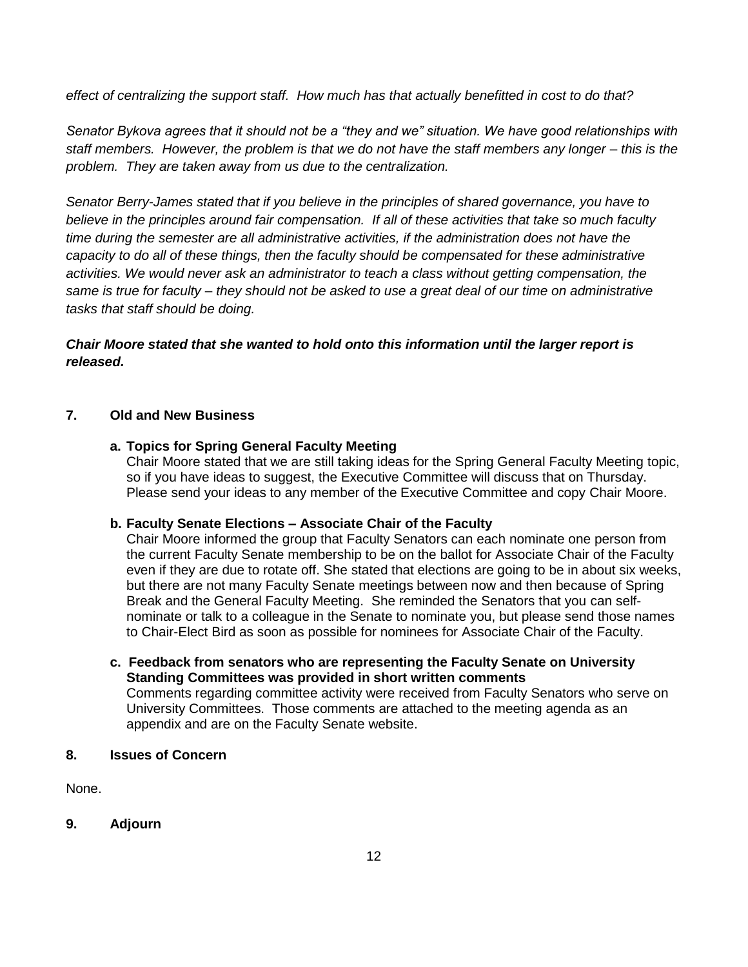*effect of centralizing the support staff. How much has that actually benefitted in cost to do that?*

*Senator Bykova agrees that it should not be a "they and we" situation. We have good relationships with staff members. However, the problem is that we do not have the staff members any longer – this is the problem. They are taken away from us due to the centralization.* 

*Senator Berry-James stated that if you believe in the principles of shared governance, you have to believe in the principles around fair compensation. If all of these activities that take so much faculty time during the semester are all administrative activities, if the administration does not have the capacity to do all of these things, then the faculty should be compensated for these administrative activities. We would never ask an administrator to teach a class without getting compensation, the same is true for faculty – they should not be asked to use a great deal of our time on administrative tasks that staff should be doing.*

### *Chair Moore stated that she wanted to hold onto this information until the larger report is released.*

### **7. Old and New Business**

### **a. Topics for Spring General Faculty Meeting**

Chair Moore stated that we are still taking ideas for the Spring General Faculty Meeting topic, so if you have ideas to suggest, the Executive Committee will discuss that on Thursday. Please send your ideas to any member of the Executive Committee and copy Chair Moore.

#### **b. Faculty Senate Elections – Associate Chair of the Faculty**

Chair Moore informed the group that Faculty Senators can each nominate one person from the current Faculty Senate membership to be on the ballot for Associate Chair of the Faculty even if they are due to rotate off. She stated that elections are going to be in about six weeks, but there are not many Faculty Senate meetings between now and then because of Spring Break and the General Faculty Meeting. She reminded the Senators that you can selfnominate or talk to a colleague in the Senate to nominate you, but please send those names to Chair-Elect Bird as soon as possible for nominees for Associate Chair of the Faculty.

**c. Feedback from senators who are representing the Faculty Senate on University Standing Committees was provided in short written comments**  Comments regarding committee activity were received from Faculty Senators who serve on University Committees. Those comments are attached to the meeting agenda as an appendix and are on the Faculty Senate website.

#### **8. Issues of Concern**

None.

### **9. Adjourn**